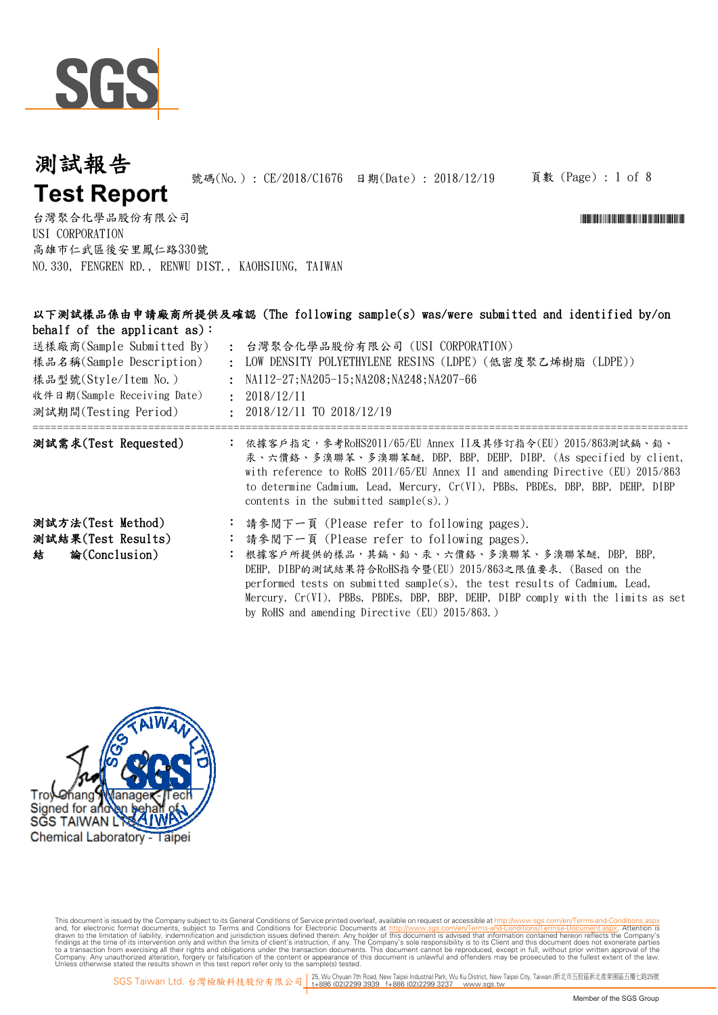

#### 頁數 (Page) : 1 of 8 號碼(No.): CE/2018/C1676 日期(Date): 2018/12/19 測試報告 **Test Report**

\*CE/2018/CE/2018/CE/2018/CE/2018

台灣聚合化學品股份有限公司 USI CORPORATION 高雄市仁武區後安里鳳仁路330號 NO.330, FENGREN RD., RENWU DIST., KAOHSIUNG, TAIWAN

| 以下測試樣品係由申請廠商所提供及確認 (The following sample(s) was/were submitted and identified by/on |                                                                                                                                                                                                                                                                                                                                                                                                                           |  |  |  |  |  |  |  |
|-------------------------------------------------------------------------------------|---------------------------------------------------------------------------------------------------------------------------------------------------------------------------------------------------------------------------------------------------------------------------------------------------------------------------------------------------------------------------------------------------------------------------|--|--|--|--|--|--|--|
| behalf of the applicant as):                                                        |                                                                                                                                                                                                                                                                                                                                                                                                                           |  |  |  |  |  |  |  |
| 送樣廠商(Sample Submitted By)                                                           | : 台灣聚合化學品股份有限公司 (USI CORPORATION)                                                                                                                                                                                                                                                                                                                                                                                         |  |  |  |  |  |  |  |
| 樣品名稱(Sample Description)                                                            | : LOW DENSITY POLYETHYLENE RESINS (LDPE) (低密度聚乙烯樹脂 (LDPE))                                                                                                                                                                                                                                                                                                                                                                |  |  |  |  |  |  |  |
| 樣品型號(Style/Item No.)                                                                | : NA112-27; NA205-15; NA208; NA248; NA207-66                                                                                                                                                                                                                                                                                                                                                                              |  |  |  |  |  |  |  |
| 收件日期(Sample Receiving Date)                                                         | : 2018/12/11                                                                                                                                                                                                                                                                                                                                                                                                              |  |  |  |  |  |  |  |
| 測試期間(Testing Period)                                                                | $: 2018/12/11$ TO $2018/12/19$                                                                                                                                                                                                                                                                                                                                                                                            |  |  |  |  |  |  |  |
| 測試需求(Test Requested)                                                                | : 依據客戶指定,參考RoHS2011/65/EU Annex II及其修訂指令(EU) 2015/863測試編、鉛、<br>汞、六價鉻、多溴聯苯、多溴聯苯醚, DBP, BBP, DEHP, DIBP. (As specified by client,<br>with reference to RoHS 2011/65/EU Annex II and amending Directive (EU) 2015/863<br>to determine Cadmium, Lead, Mercury, Cr(VI), PBBs, PBDEs, DBP, BBP, DEHP, DIBP<br>contents in the submitted sample(s).)                                                                             |  |  |  |  |  |  |  |
| 測試方法(Test Method)<br>測試結果(Test Results)<br>論(Conclusion)<br>結                       | : 請參閱下一頁 (Please refer to following pages).<br>請參閱下一頁 (Please refer to following pages).<br>: 根據客戶所提供的樣品,其鎘、鉛、汞、六價鉻、多溴聯苯、多溴聯苯醚, DBP, BBP,<br>DEHP,DIBP的測試結果符合RoHS指令暨(EU) 2015/863之限值要求. (Based on the<br>performed tests on submitted sample(s), the test results of Cadmium, Lead,<br>Mercury, Cr(VI), PBBs, PBDEs, DBP, BBP, DEHP, DIBP comply with the limits as set<br>by RoHS and amending Directive (EU) 2015/863.) |  |  |  |  |  |  |  |

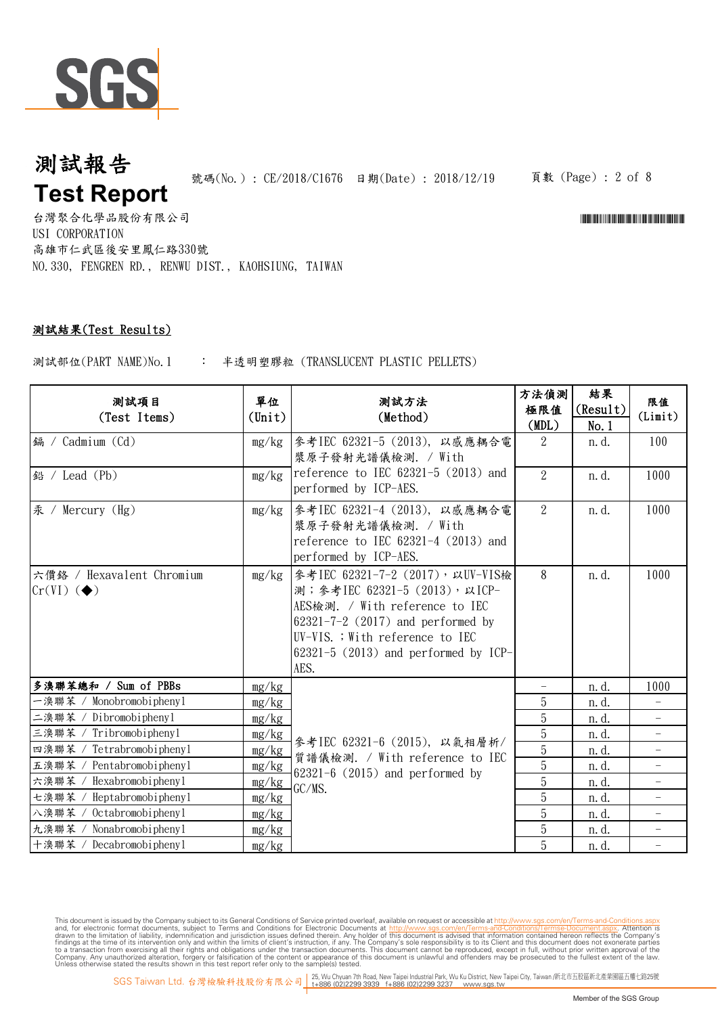

台灣聚合化學品股份有限公司 USI CORPORATION 高雄市仁武區後安里鳳仁路330號 NO.330, FENGREN RD., RENWU DIST., KAOHSIUNG, TAIWAN

### 測試結果(Test Results)

: 半透明塑膠粒 (TRANSLUCENT PLASTIC PELLETS) 測試部位(PART NAME)No.1

| 测試項目<br>(Test Items)                                      | 單位<br>$(\text{Unit})$ | 测試方法<br>(Method)                                                                                                                                                                                                                     | 方法偵測<br>極限值<br>(MDL) | 結果<br>(Result)<br>No.1 | 限值<br>(Limit)            |
|-----------------------------------------------------------|-----------------------|--------------------------------------------------------------------------------------------------------------------------------------------------------------------------------------------------------------------------------------|----------------------|------------------------|--------------------------|
| 鎘 / Cadmium (Cd)                                          | mg/kg                 | 參考IEC 62321-5 (2013), 以感應耦合電<br>漿原子發射光譜儀檢測. / With                                                                                                                                                                                   | 2                    | n. d.                  | 100                      |
| 鉛 / Lead (Pb)                                             | mg/kg                 | reference to IEC $62321-5$ (2013) and<br>performed by ICP-AES.                                                                                                                                                                       | $\overline{2}$       | n. d.                  | 1000                     |
| 汞 / Mercury (Hg)                                          | mg/kg                 | 參考IEC 62321-4 (2013), 以感應耦合電<br>漿原子發射光譜儀檢測. / With<br>reference to IEC $62321-4$ (2013) and<br>performed by ICP-AES.                                                                                                                 | $\overline{2}$       | n. d.                  | 1000                     |
| 六價鉻 / Hexavalent Chromium<br>$Cr(VI)$ ( $\blacklozenge$ ) | mg/kg                 | 参考IEC 62321-7-2 (2017), 以UV-VIS檢<br>測; 參考IEC 62321-5 (2013), 以ICP-<br>AES檢測. / With reference to IEC<br>$62321 - 7 - 2$ (2017) and performed by<br>UV-VIS. ; With reference to IEC<br>$62321-5$ (2013) and performed by ICP-<br>AES. | 8                    | n. d.                  | 1000                     |
| 多溴聯苯總和 / Sum of PBBs                                      | mg/kg                 | 參考IEC 62321-6 (2015), 以氣相層析/<br>質譜儀檢測. / With reference to IEC<br>$62321 - 6$ (2015) and performed by<br>GC/MS.                                                                                                                      |                      | n.d.                   | 1000                     |
| 一溴聯苯 / Monobromobiphenyl                                  | mg/kg                 |                                                                                                                                                                                                                                      | 5                    | n. d.                  | $\equiv$                 |
| 二溴聯苯<br>Dibromobiphenyl                                   | mg/kg                 |                                                                                                                                                                                                                                      | 5                    | n. d.                  |                          |
| Tribromobiphenyl<br>三溴聯苯                                  | mg/kg                 |                                                                                                                                                                                                                                      | $\overline{5}$       | n. d.                  |                          |
| Tetrabromobiphenyl<br>四溴聯苯                                | mg/kg                 |                                                                                                                                                                                                                                      | $\overline{5}$       | n. d.                  | $\overline{\phantom{0}}$ |
| Pentabromobiphenyl<br>五溴聯苯                                | mg/kg                 |                                                                                                                                                                                                                                      | $\overline{5}$       | n. d.                  | $\overline{\phantom{0}}$ |
| Hexabromobiphenyl<br>六溴聯苯                                 | mg/kg                 |                                                                                                                                                                                                                                      | $\overline{5}$       | n. d.                  | $\overline{\phantom{0}}$ |
| Heptabromobiphenyl<br>七溴聯苯 /                              | mg/kg                 |                                                                                                                                                                                                                                      | 5                    | n. d.                  | $\overline{\phantom{0}}$ |
| Octabromobiphenyl<br>八溴聯苯 /                               | mg/kg                 |                                                                                                                                                                                                                                      | 5                    | n. d.                  | $\overline{\phantom{0}}$ |
| 九溴聯苯 /<br>Nonabromobiphenyl                               | mg/kg                 |                                                                                                                                                                                                                                      | 5                    | n. d.                  |                          |
| 十溴聯苯 / Decabromobiphenyl                                  | mg/kg                 |                                                                                                                                                                                                                                      | 5                    | n. d.                  | $\bar{\phantom{0}}$      |

This document is issued by the Company subject to its General Conditions of Service printed overleaf, available on request or a economic insults. Say, com/en/Terms-and-Conditions/Terms-Pocument. Say, 2012, Attention is<br>and

頁數 (Page) : 2 of 8

\*CE/2018/CE/2018/CE/2018/CE/2018/CE/2018/CE/2018

SGS Taiwan Ltd. 台灣檢驗科技股份有限公司 15, Wu Chyuan 7th Road, New Taipei Industrial Park, Wu Ku District, New Taipei City, Taiwan /新北市五股區新北產業國區五權七路25號<br>SGS Taiwan Ltd. 台灣檢驗科技股份有限公司 1+886 (02)2299 3939 f+886 (02)2299 3237 www.sgs.t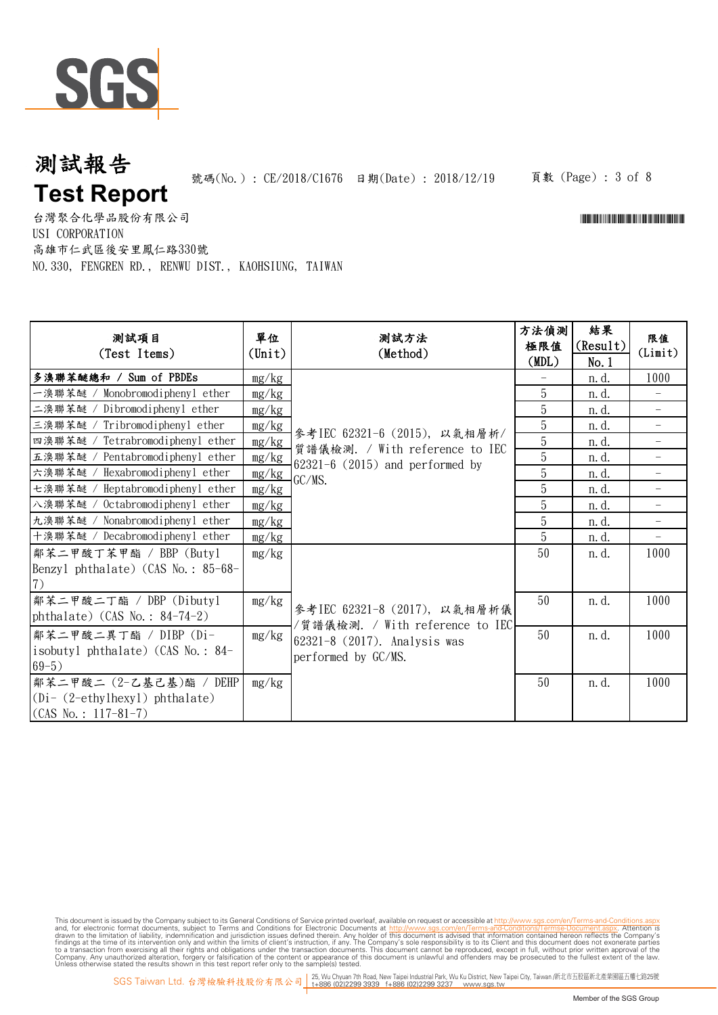

頁數 (Page) : 3 of 8

\*CE/2018/CE/2018/CE/2018/CE/2018

台灣聚合化學品股份有限公司 USI CORPORATION 高雄市仁武區後安里鳳仁路330號 NO.330, FENGREN RD., RENWU DIST., KAOHSIUNG, TAIWAN

| 测試項目<br>(Test Items)                             | 單位<br>(Unit) | 測試方法<br>(Method)                                                                                              | 方法偵測<br>極限值<br>(MDL) | 結果<br>(Result)<br>No.1 | 限值<br>(Limit)            |
|--------------------------------------------------|--------------|---------------------------------------------------------------------------------------------------------------|----------------------|------------------------|--------------------------|
| 多溴聯苯醚總和 / Sum of PBDEs                           | mg/kg        | 參考IEC 62321-6 (2015), 以氣相層析/<br>質譜儀檢測. / With reference to IEC<br>$62321-6$ (2015) and performed by<br>GC/MS. |                      | n. d.                  | 1000                     |
| 一溴聯苯醚 / Monobromodiphenyl ether                  | mg/kg        |                                                                                                               | 5                    | n. d.                  |                          |
| 二溴聯苯醚 / Dibromodiphenyl ether                    | mg/kg        |                                                                                                               | 5                    | n. d.                  | $\overline{\phantom{0}}$ |
| 三溴聯苯醚 / Tribromodiphenyl ether                   | mg/kg        |                                                                                                               | $\mathbf 5$          | n. d.                  | $\equiv$                 |
| 四溴聯苯醚 / Tetrabromodiphenyl ether                 | mg/kg        |                                                                                                               | 5                    | n. d.                  | $\overline{\phantom{0}}$ |
| 五溴聯苯醚 / Pentabromodiphenyl ether                 | mg/kg        |                                                                                                               | 5                    | n. d.                  |                          |
| 六溴聯苯醚 / Hexabromodiphenyl ether                  | mg/kg        |                                                                                                               | 5                    | n. d.                  |                          |
| 七溴聯苯醚 / Heptabromodiphenyl ether                 | mg/kg        |                                                                                                               | 5                    | n. d.                  |                          |
| 八溴聯苯醚 / Octabromodiphenyl ether                  | mg/kg        |                                                                                                               | 5                    | n. d.                  |                          |
| 九溴聯苯醚 / Nonabromodiphenyl ether                  | mg/kg        |                                                                                                               | 5                    | n. d.                  |                          |
| 十溴聯苯醚 / Decabromodiphenyl ether                  | mg/kg        |                                                                                                               | 5                    | n. d.                  |                          |
| 鄰苯二甲酸丁苯甲酯 / BBP (Butyl                           | mg/kg        |                                                                                                               | 50                   | n. d.                  | 1000                     |
| Benzyl phthalate) (CAS No.: 85-68-               |              |                                                                                                               |                      |                        |                          |
| (7)                                              |              |                                                                                                               |                      |                        |                          |
| 鄰苯二甲酸二丁酯 / DBP (Dibuty1                          | mg/kg        | 參考IEC 62321-8 (2017), 以氣相層析儀                                                                                  | 50                   | n. d.                  | 1000                     |
| phthalate) (CAS No.: $84-74-2$ )                 |              | /質譜儀檢測. / With reference to IEC                                                                               |                      |                        |                          |
| 鄰苯二甲酸二異丁酯 / DIBP (Di-                            | mg/kg        | 62321-8 (2017). Analysis was                                                                                  | 50                   | n. d.                  | 1000                     |
| isobutyl phthalate) (CAS No.: 84-                |              | performed by GC/MS.                                                                                           |                      |                        |                          |
| $69-5)$                                          |              |                                                                                                               |                      |                        |                          |
| 鄰苯二甲酸二 (2-乙基己基)酯 / DEHP                          | mg/kg        |                                                                                                               | 50                   | n. d.                  | 1000                     |
| $(Di - (2-\text{ethylhexyl}) \text{ phthalate})$ |              |                                                                                                               |                      |                        |                          |
| $(CAS No.: 117-81-7)$                            |              |                                                                                                               |                      |                        |                          |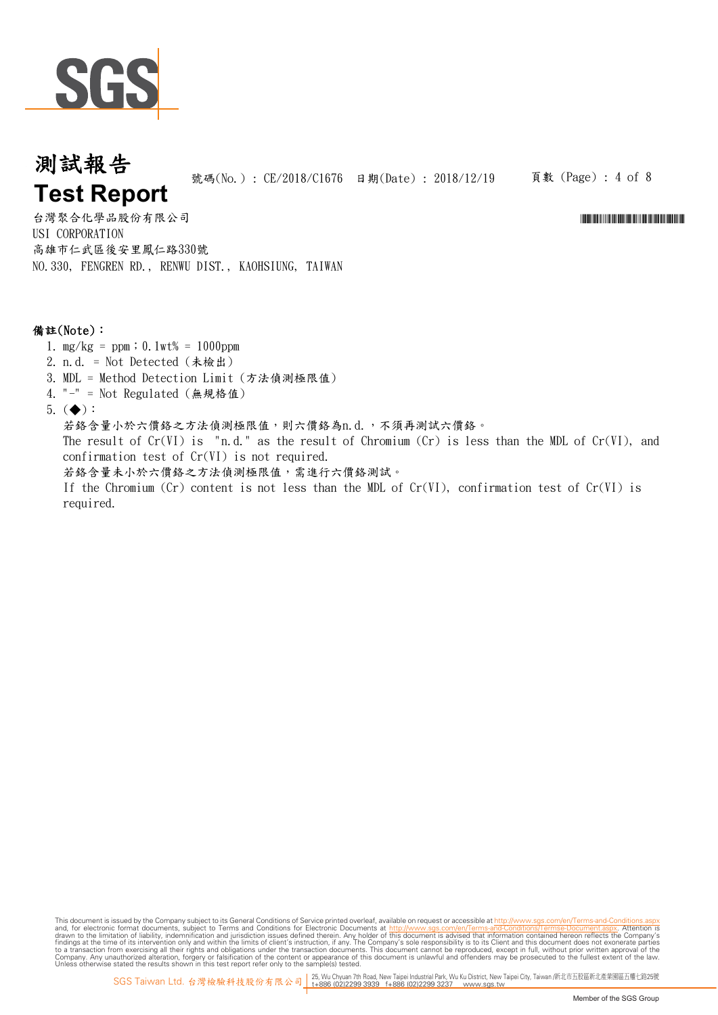

頁數 (Page) : 4 of 8

\*CE/2018/CE/2018/CE/2018/CE/2018/CE/2018

台灣聚合化學品股份有限公司 USI CORPORATION 高雄市仁武區後安里鳳仁路330號 NO.330, FENGREN RD., RENWU DIST., KAOHSIUNG, TAIWAN

### 備註(Note):

- 1.  $mg/kg = ppm$ ; 0.1wt% = 1000ppm
- 2. n.d. = Not Detected (未檢出)
- 3. MDL = Method Detection Limit (方法偵測極限值)
- 4. "-" = Not Regulated (無規格值)
- 5.  $(\blacklozenge)$ :

若鉻含量小於六價鉻之方法偵測極限值,則六價鉻為n.d.,不須再測試六價鉻。 The result of  $Cr(VI)$  is "n.d." as the result of Chromium  $(Cr)$  is less than the MDL of  $Cr(VI)$ , and confirmation test of Cr(VI) is not required. 若絡含量未小於六價絡之方法偵測極限值,需進行六價絡測試。 If the Chromium (Cr) content is not less than the MDL of  $Cr(VI)$ , confirmation test of  $Cr(VI)$  is required.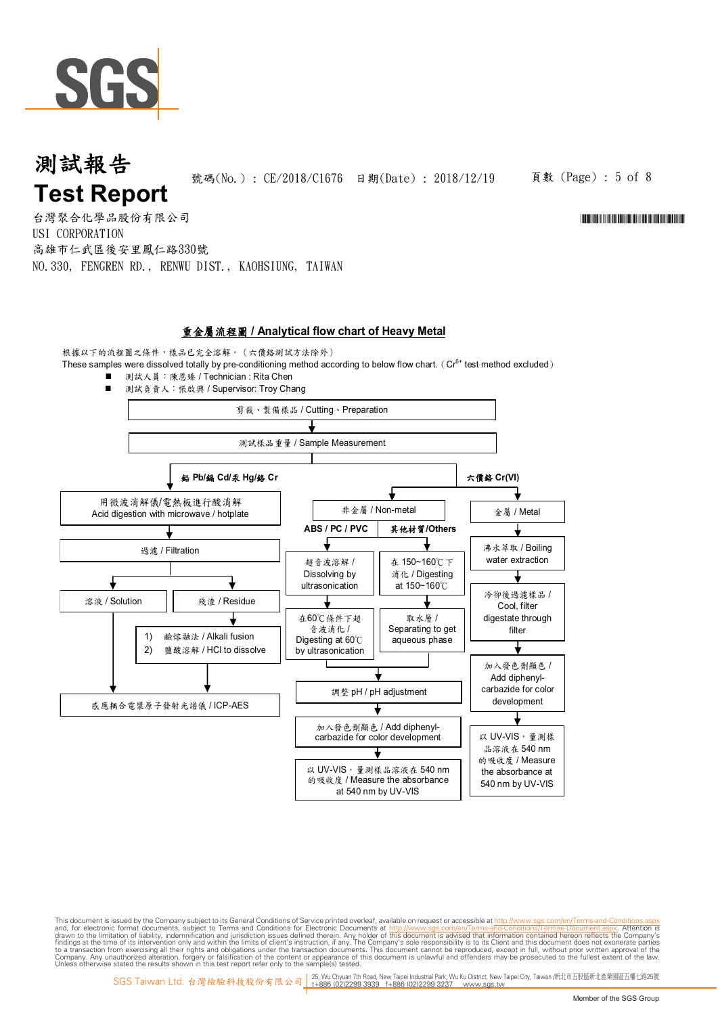

頁數 (Page) : 5 of 8

\*CE/2018/CE/2018/CE/2018/CE/2018/CE/2018/CE/2018

台灣聚合化學品股份有限公司 USI CORPORATION 高雄市仁武區後安里鳳仁路330號 NO.330, FENGREN RD., RENWU DIST., KAOHSIUNG, TAIWAN

### 重金屬流程圖 **/ Analytical flow chart of Heavy Metal**

根據以下的流程圖之條件,樣品已完全溶解。(六價鉻測試方法除外) These samples were dissolved totally by pre-conditioning method according to below flow chart. (Cr<sup>6+</sup> test method excluded)

 測試人員:陳恩臻 / Technician : Rita Chen ■ 測試負責人:張啟興 / Supervisor: Troy Chang 剪裁、製備樣品 / Cutting、Preparation 測試樣品重量 / Sample Measurement 用微波消解儀/電熱板進行酸消解 Acid digestion with microwave / hotplate 鉛 **Pb/**鎘 **Cd/**汞 **Hg/**鉻 **Cr** 過濾 / Filtration **溶液 / Solution** | | 残渣 / Residue 1) 鹼熔融法 / Alkali fusion 2) 鹽酸溶解 / HCl to dissolve 感應耦合電漿原子發射光譜儀 / ICP-AES 六價鉻 **Cr(VI)** 非金屬 / Non-metal | | 全屬 / Metal 超音波溶解 / Dissolving by ultrasonication 在 150~160℃下 消化 / Digesting at 150~160℃ **ABS / PC / PVC** 其他材質**/Others** 沸水萃取 / Boiling water extraction 冷卻後過濾樣品 / Cool, filter digestate through filter 加入發色劑顯色 / Add diphenylcarbazide for color development 以 UV-VIS,量測樣 品溶液在 540 nm 的吸收度 / Measure the absorbance at 540 nm by UV-VIS 取水層 / Separating to get aqueous phase 在60℃條件下超 音波消化 / Digesting at 60℃ by ultrasonication 調整 pH / pH adjustment 加入發色劑顯色 / Add diphenylcarbazide for color development 以 UV-VIS,量測樣品溶液在 540 nm 的吸收度 / Measure the absorbance at 540 nm by UV-VIS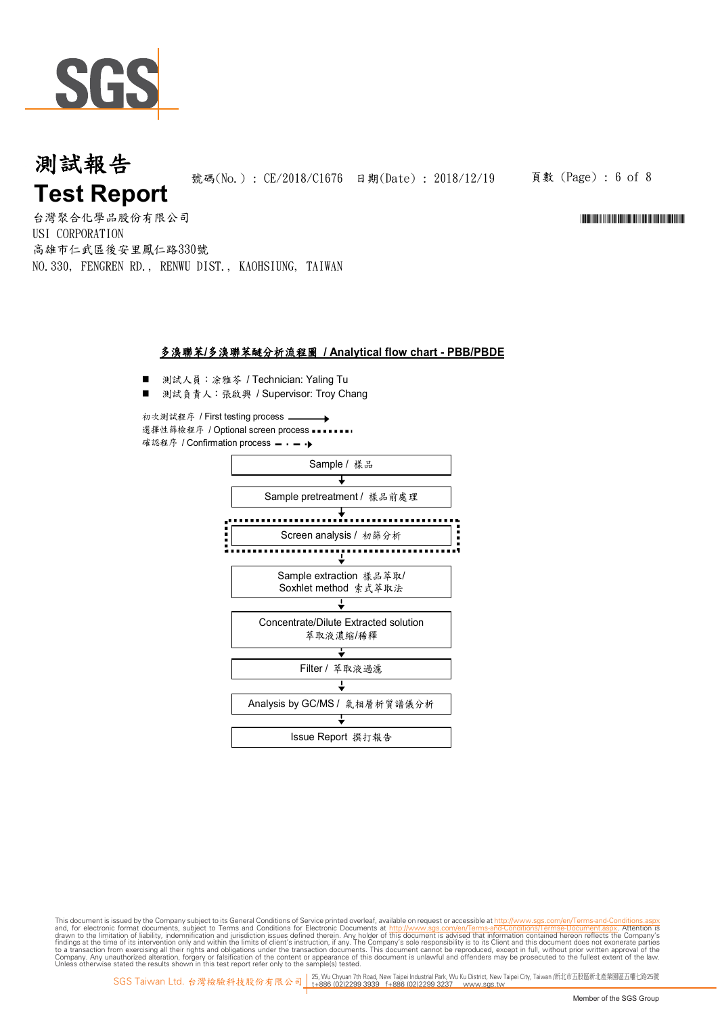

頁數 (Page) : 6 of 8

\*CE/2018/CE/2018/CE/2018/CE/2018/CE/2018

台灣聚合化學品股份有限公司 USI CORPORATION 高雄市仁武區後安里鳳仁路330號 NO.330, FENGREN RD., RENWU DIST., KAOHSIUNG, TAIWAN

### 多溴聯苯**/**多溴聯苯醚分析流程圖 **/ Analytical flow chart - PBB/PBDE**

- 測試人員:涂雅苓 / Technician: Yaling Tu
- 測試負責人:張啟興 / Supervisor: Troy Chang

初次測試程序 / First testing process 選擇性篩檢程序 / Optional screen process ■■■■■ 確認程序 / Confirmation process - - - - →

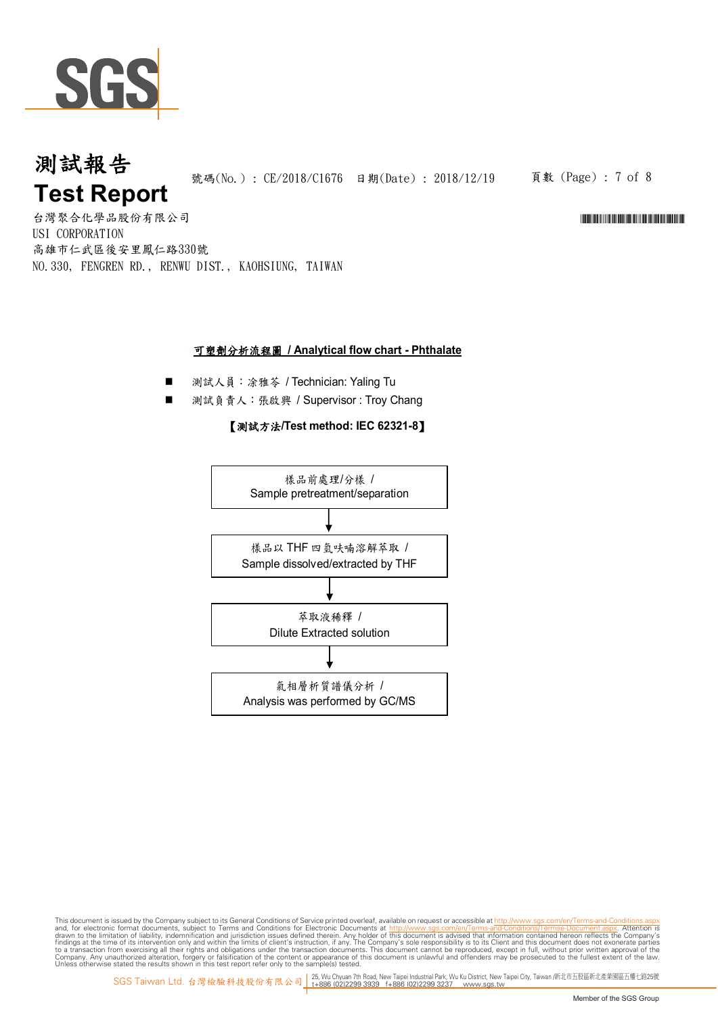

頁數 (Page) : 7 of 8

\*CE/2018/CE/2018/CE/2018/CE/2018/CE/2018

台灣聚合化學品股份有限公司 USI CORPORATION 高雄市仁武區後安里鳳仁路330號 NO.330, FENGREN RD., RENWU DIST., KAOHSIUNG, TAIWAN

### 可塑劑分析流程圖 **/ Analytical flow chart - Phthalate**

- 測試人員:涂雅芩 / Technician: Yaling Tu
- 測試負責人: 張啟興 / Supervisor : Troy Chang

### 【測試方法**/Test method: IEC 62321-8**】